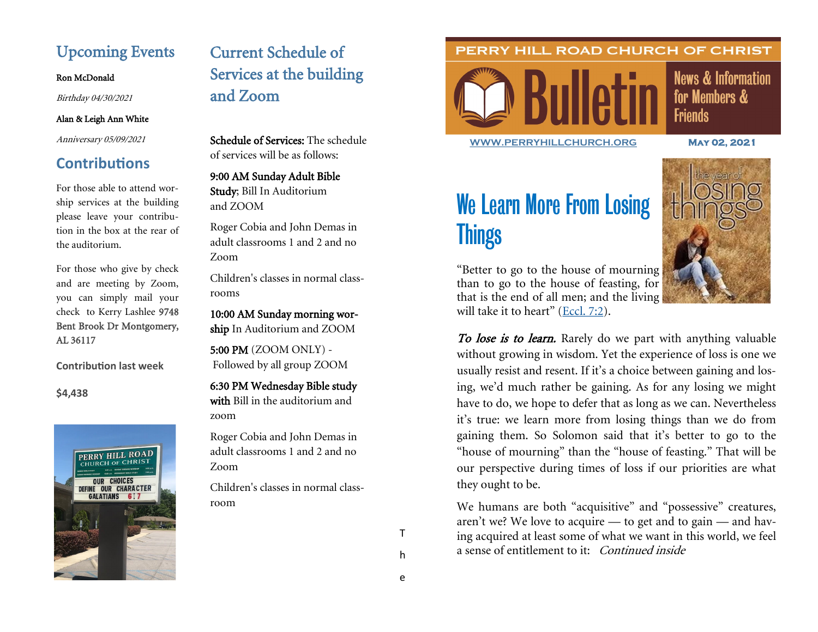# Upcoming Events

Ron McDonald

Birthday 04/30/2021

### Alan & Leigh Ann White

Anniversary 05/09/2021

# **Contributions**

For those able to attend worship services at the building please leave your contribution in the box at the rear of the auditorium.

For those who give by check and are meeting by Zoom, you can simply mail your check to Kerry Lashlee 9748 Bent Brook Dr Montgomery, AL 36117

**Contribution last week**

**\$4,438**



# Current Schedule of Services at the building and Zoom

Schedule of Services: The schedule of services will be as follows:

9:00 AM Sunday Adult Bible Study; Bill In Auditorium and ZOOM

Roger Cobia and John Demas in adult classrooms 1 and 2 and no Zoom

Children's classes in normal classrooms

10:00 AM Sunday morning worship In Auditorium and ZOOM

5:00 PM (ZOOM ONLY) - Followed by all group ZOOM

6:30 PM Wednesday Bible study

with Bill in the auditorium and zoom

Roger Cobia and John Demas in adult classrooms 1 and 2 and no Zoom

Children's classes in normal classroom

### PERRY HILL ROAD CHURCH OF CHRIST



**News & Information** for Members & **Friends** 

**[WWW.PERRYHILLCHURCH.ORG](http://www.perryhillchurch.org) May 02, 2021** 

# We Learn More From Losing **Things**



"Better to go to the house of mourning than to go to the house of feasting, for that is the end of all men; and the living will take it to heart" ([Eccl. 7:2\).](https://biblia.com/bible/esv/Eccles.%207.2)

To lose is to learn. Rarely do we part with anything valuable without growing in wisdom. Yet the experience of loss is one we usually resist and resent. If it's a choice between gaining and losing, we'd much rather be gaining. As for any losing we might have to do, we hope to defer that as long as we can. Nevertheless it's true: we learn more from losing things than we do from gaining them. So Solomon said that it's better to go to the "house of mourning" than the "house of feasting." That will be our perspective during times of loss if our priorities are what they ought to be.

We humans are both "acquisitive" and "possessive" creatures, aren't we? We love to acquire — to get and to gain — and having acquired at least some of what we want in this world, we feel a sense of entitlement to it: Continued inside

T

h